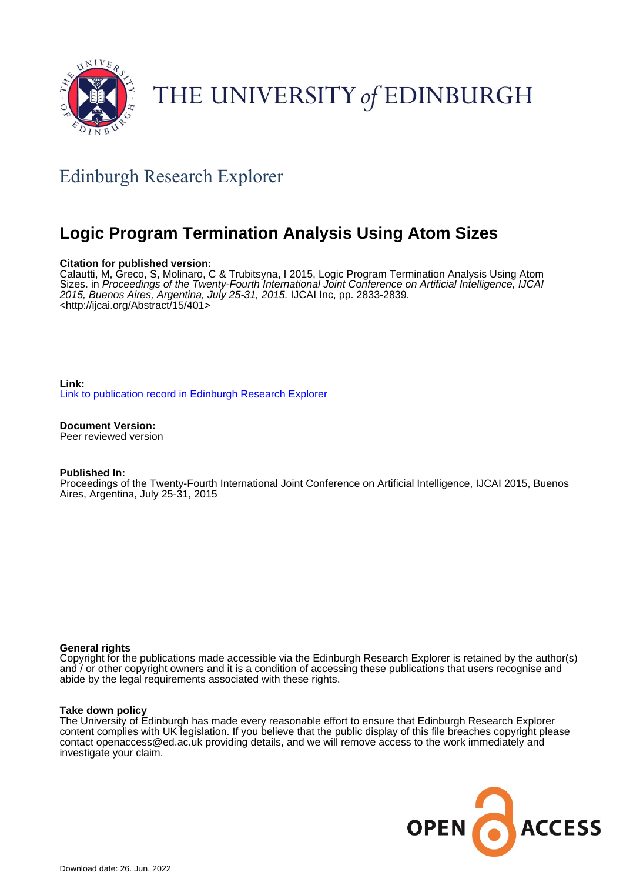

# THE UNIVERSITY of EDINBURGH

# Edinburgh Research Explorer

# **Logic Program Termination Analysis Using Atom Sizes**

# **Citation for published version:**

Calautti, M, Greco, S, Molinaro, C & Trubitsyna, I 2015, Logic Program Termination Analysis Using Atom Sizes. in Proceedings of the Twenty-Fourth International Joint Conference on Artificial Intelligence, IJCAI 2015, Buenos Aires, Argentina, July 25-31, 2015. IJCAI Inc, pp. 2833-2839. <<http://ijcai.org/Abstract/15/401>>

# **Link:** [Link to publication record in Edinburgh Research Explorer](https://www.research.ed.ac.uk/en/publications/206461bc-3de8-497d-b1d2-2a0a7c2d6d37)

#### **Document Version:** Peer reviewed version

# **Published In:**

Proceedings of the Twenty-Fourth International Joint Conference on Artificial Intelligence, IJCAI 2015, Buenos Aires, Argentina, July 25-31, 2015

# **General rights**

Copyright for the publications made accessible via the Edinburgh Research Explorer is retained by the author(s) and / or other copyright owners and it is a condition of accessing these publications that users recognise and abide by the legal requirements associated with these rights.

# **Take down policy**

The University of Edinburgh has made every reasonable effort to ensure that Edinburgh Research Explorer content complies with UK legislation. If you believe that the public display of this file breaches copyright please contact openaccess@ed.ac.uk providing details, and we will remove access to the work immediately and investigate your claim.

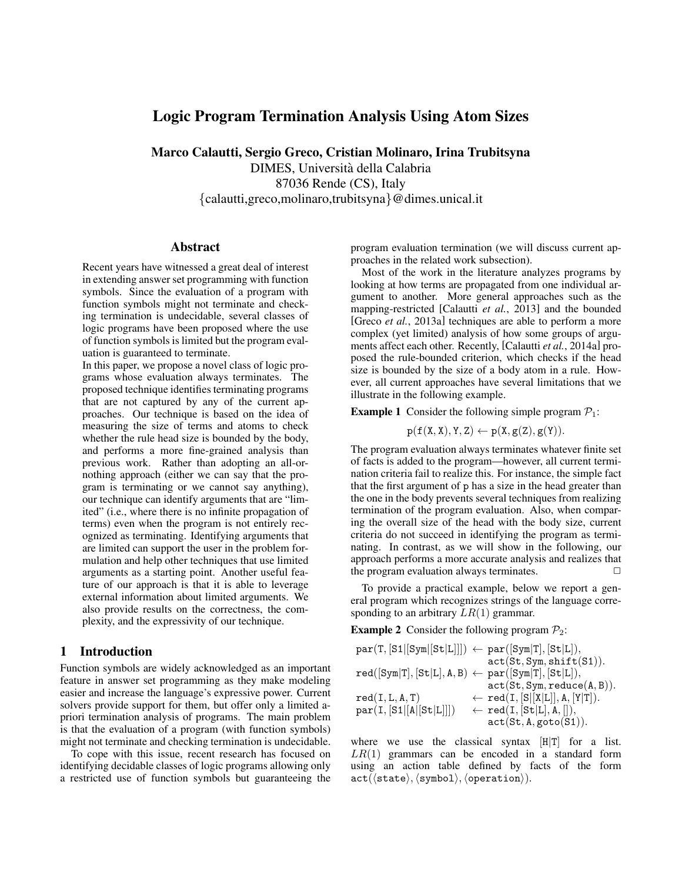# Logic Program Termination Analysis Using Atom Sizes

Marco Calautti, Sergio Greco, Cristian Molinaro, Irina Trubitsyna DIMES, Universita della Calabria ` 87036 Rende (CS), Italy {calautti,greco,molinaro,trubitsyna}@dimes.unical.it

#### Abstract

Recent years have witnessed a great deal of interest in extending answer set programming with function symbols. Since the evaluation of a program with function symbols might not terminate and checking termination is undecidable, several classes of logic programs have been proposed where the use of function symbols is limited but the program evaluation is guaranteed to terminate.

In this paper, we propose a novel class of logic programs whose evaluation always terminates. The proposed technique identifies terminating programs that are not captured by any of the current approaches. Our technique is based on the idea of measuring the size of terms and atoms to check whether the rule head size is bounded by the body, and performs a more fine-grained analysis than previous work. Rather than adopting an all-ornothing approach (either we can say that the program is terminating or we cannot say anything), our technique can identify arguments that are "limited" (i.e., where there is no infinite propagation of terms) even when the program is not entirely recognized as terminating. Identifying arguments that are limited can support the user in the problem formulation and help other techniques that use limited arguments as a starting point. Another useful feature of our approach is that it is able to leverage external information about limited arguments. We also provide results on the correctness, the complexity, and the expressivity of our technique.

## 1 Introduction

Function symbols are widely acknowledged as an important feature in answer set programming as they make modeling easier and increase the language's expressive power. Current solvers provide support for them, but offer only a limited apriori termination analysis of programs. The main problem is that the evaluation of a program (with function symbols) might not terminate and checking termination is undecidable.

To cope with this issue, recent research has focused on identifying decidable classes of logic programs allowing only a restricted use of function symbols but guaranteeing the

program evaluation termination (we will discuss current approaches in the related work subsection).

Most of the work in the literature analyzes programs by looking at how terms are propagated from one individual argument to another. More general approaches such as the mapping-restricted [Calautti *et al.*, 2013] and the bounded [Greco *et al.*, 2013a] techniques are able to perform a more complex (yet limited) analysis of how some groups of arguments affect each other. Recently, [Calautti *et al.*, 2014a] proposed the rule-bounded criterion, which checks if the head size is bounded by the size of a body atom in a rule. However, all current approaches have several limitations that we illustrate in the following example.

**Example 1** Consider the following simple program  $P_1$ :

 $p(f(X, X), Y, Z) \leftarrow p(X, g(Z), g(Y)).$ 

The program evaluation always terminates whatever finite set of facts is added to the program—however, all current termination criteria fail to realize this. For instance, the simple fact that the first argument of p has a size in the head greater than the one in the body prevents several techniques from realizing termination of the program evaluation. Also, when comparing the overall size of the head with the body size, current criteria do not succeed in identifying the program as terminating. In contrast, as we will show in the following, our approach performs a more accurate analysis and realizes that the program evaluation always terminates.  $\Box$ 

To provide a practical example, below we report a general program which recognizes strings of the language corresponding to an arbitrary  $LR(1)$  grammar.

**Example 2** Consider the following program  $\mathcal{P}_2$ :

| $par(T, [S1 [Sym][St[L]]]) \leftarrow par([Sym T], [St[L]),$  |                                                    |
|---------------------------------------------------------------|----------------------------------------------------|
|                                                               | act(St, Sym, shift(S1)).                           |
| $red([Sym T], [St L], A, B) \leftarrow par([Sym T], [St L]),$ |                                                    |
|                                                               | act(St, Sym, reduce(A, B)).                        |
| red(I, L, A, T)                                               | $\leftarrow \texttt{red}(I, [S [X L]], A, [Y T]).$ |
| par(I, [S1 [A [St L]]])                                       | $\leftarrow \texttt{red}(I, [St L], A, []),$       |
|                                                               | act(St, A, goto(S1)).                              |
|                                                               |                                                    |

where we use the classical syntax  $[H|T]$  for a list.  $LR(1)$  grammars can be encoded in a standard form using an action table defined by facts of the form  $act(\langle state \rangle, \langle symbol \rangle, \langle operation \rangle).$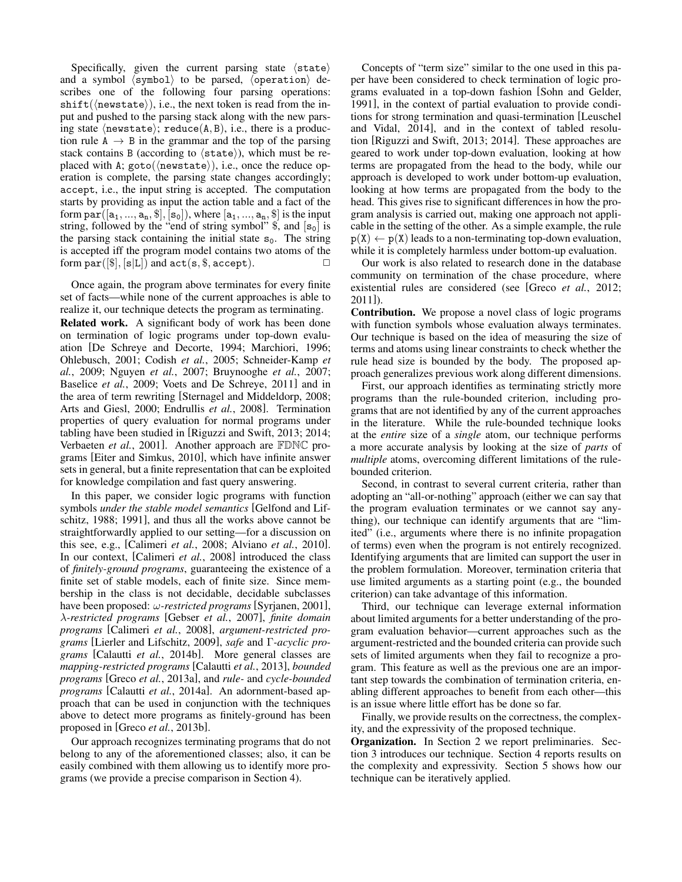Specifically, given the current parsing state  $\langle$  state $\rangle$ and a symbol  $\langle \text{symbol} \rangle$  to be parsed,  $\langle \text{operation} \rangle$  describes one of the following four parsing operations:  $shift(\langle newstate \rangle), i.e.,$  the next token is read from the input and pushed to the parsing stack along with the new parsing state  $\langle$ newstate $\rangle$ ; reduce $(A, B)$ , i.e., there is a production rule  $A \rightarrow B$  in the grammar and the top of the parsing stack contains B (according to  $\langle$  state $\rangle$ ), which must be replaced with A;  $goto(\langle newstate \rangle)$ , i.e., once the reduce operation is complete, the parsing state changes accordingly; accept, i.e., the input string is accepted. The computation starts by providing as input the action table and a fact of the form  $par([a_1, ..., a_n, \$\], [s_0])$ , where  $[a_1, ..., a_n, \$\]$  is the input string, followed by the "end of string symbol"  $\$ , and  $[s_0]$  is the parsing stack containing the initial state  $s_0$ . The string is accepted iff the program model contains two atoms of the form  $par([\$], [s|L])$  and  $act(s, \$, accept)$ .  $\Box$ 

Once again, the program above terminates for every finite set of facts—while none of the current approaches is able to realize it, our technique detects the program as terminating. Related work. A significant body of work has been done on termination of logic programs under top-down evaluation [De Schreye and Decorte, 1994; Marchiori, 1996; Ohlebusch, 2001; Codish *et al.*, 2005; Schneider-Kamp *et al.*, 2009; Nguyen *et al.*, 2007; Bruynooghe *et al.*, 2007; Baselice *et al.*, 2009; Voets and De Schreye, 2011] and in the area of term rewriting [Sternagel and Middeldorp, 2008; Arts and Giesl, 2000; Endrullis *et al.*, 2008]. Termination properties of query evaluation for normal programs under tabling have been studied in [Riguzzi and Swift, 2013; 2014; Verbaeten *et al.*, 2001]. Another approach are FDNC programs [Eiter and Simkus, 2010], which have infinite answer sets in general, but a finite representation that can be exploited for knowledge compilation and fast query answering.

In this paper, we consider logic programs with function symbols *under the stable model semantics* [Gelfond and Lifschitz, 1988; 1991], and thus all the works above cannot be straightforwardly applied to our setting—for a discussion on this see, e.g., [Calimeri *et al.*, 2008; Alviano *et al.*, 2010]. In our context, [Calimeri *et al.*, 2008] introduced the class of *finitely-ground programs*, guaranteeing the existence of a finite set of stable models, each of finite size. Since membership in the class is not decidable, decidable subclasses have been proposed: ω*-restricted programs* [Syrjanen, 2001], λ*-restricted programs* [Gebser *et al.*, 2007], *finite domain programs* [Calimeri *et al.*, 2008], *argument-restricted programs* [Lierler and Lifschitz, 2009], *safe* and Γ*-acyclic programs* [Calautti *et al.*, 2014b]. More general classes are *mapping-restricted programs* [Calautti *et al.*, 2013], *bounded programs* [Greco *et al.*, 2013a], and *rule-* and *cycle-bounded programs* [Calautti *et al.*, 2014a]. An adornment-based approach that can be used in conjunction with the techniques above to detect more programs as finitely-ground has been proposed in [Greco *et al.*, 2013b].

Our approach recognizes terminating programs that do not belong to any of the aforementioned classes; also, it can be easily combined with them allowing us to identify more programs (we provide a precise comparison in Section 4).

Concepts of "term size" similar to the one used in this paper have been considered to check termination of logic programs evaluated in a top-down fashion [Sohn and Gelder, 1991], in the context of partial evaluation to provide conditions for strong termination and quasi-termination [Leuschel and Vidal, 2014], and in the context of tabled resolution [Riguzzi and Swift, 2013; 2014]. These approaches are geared to work under top-down evaluation, looking at how terms are propagated from the head to the body, while our approach is developed to work under bottom-up evaluation, looking at how terms are propagated from the body to the head. This gives rise to significant differences in how the program analysis is carried out, making one approach not applicable in the setting of the other. As a simple example, the rule  $p(X) \leftarrow p(X)$  leads to a non-terminating top-down evaluation, while it is completely harmless under bottom-up evaluation.

Our work is also related to research done in the database community on termination of the chase procedure, where existential rules are considered (see [Greco *et al.*, 2012; 2011]).

Contribution. We propose a novel class of logic programs with function symbols whose evaluation always terminates. Our technique is based on the idea of measuring the size of terms and atoms using linear constraints to check whether the rule head size is bounded by the body. The proposed approach generalizes previous work along different dimensions.

First, our approach identifies as terminating strictly more programs than the rule-bounded criterion, including programs that are not identified by any of the current approaches in the literature. While the rule-bounded technique looks at the *entire* size of a *single* atom, our technique performs a more accurate analysis by looking at the size of *parts* of *multiple* atoms, overcoming different limitations of the rulebounded criterion.

Second, in contrast to several current criteria, rather than adopting an "all-or-nothing" approach (either we can say that the program evaluation terminates or we cannot say anything), our technique can identify arguments that are "limited" (i.e., arguments where there is no infinite propagation of terms) even when the program is not entirely recognized. Identifying arguments that are limited can support the user in the problem formulation. Moreover, termination criteria that use limited arguments as a starting point (e.g., the bounded criterion) can take advantage of this information.

Third, our technique can leverage external information about limited arguments for a better understanding of the program evaluation behavior—current approaches such as the argument-restricted and the bounded criteria can provide such sets of limited arguments when they fail to recognize a program. This feature as well as the previous one are an important step towards the combination of termination criteria, enabling different approaches to benefit from each other—this is an issue where little effort has be done so far.

Finally, we provide results on the correctness, the complexity, and the expressivity of the proposed technique.

Organization. In Section 2 we report preliminaries. Section 3 introduces our technique. Section 4 reports results on the complexity and expressivity. Section 5 shows how our technique can be iteratively applied.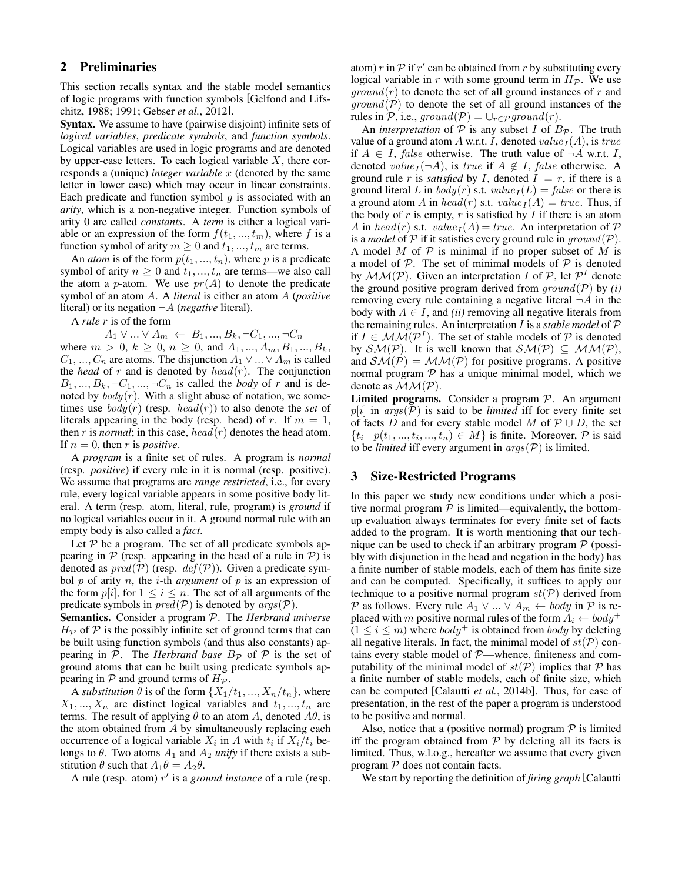# 2 Preliminaries

This section recalls syntax and the stable model semantics of logic programs with function symbols [Gelfond and Lifschitz, 1988; 1991; Gebser *et al.*, 2012].

Syntax. We assume to have (pairwise disjoint) infinite sets of *logical variables*, *predicate symbols*, and *function symbols*. Logical variables are used in logic programs and are denoted by upper-case letters. To each logical variable  $X$ , there corresponds a (unique) *integer variable x* (denoted by the same letter in lower case) which may occur in linear constraints. Each predicate and function symbol  $q$  is associated with an *arity*, which is a non-negative integer. Function symbols of arity 0 are called *constants*. A *term* is either a logical variable or an expression of the form  $f(t_1, ..., t_m)$ , where f is a function symbol of arity  $m \geq 0$  and  $t_1, ..., t_m$  are terms.

An *atom* is of the form  $p(t_1, ..., t_n)$ , where p is a predicate symbol of arity  $n \geq 0$  and  $t_1, ..., t_n$  are terms—we also call the atom a *p*-atom. We use  $pr(A)$  to denote the predicate symbol of an atom A. A *literal* is either an atom A (*positive* literal) or its negation ¬A (*negative* literal).

A *rule* r is of the form

 $A_1 \vee ... \vee A_m \leftarrow B_1, ..., B_k, \neg C_1, ..., \neg C_n$ 

where  $m > 0, k \ge 0, n \ge 0$ , and  $A_1, ..., A_m, B_1, ..., B_k$ ,  $C_1, ..., C_n$  are atoms. The disjunction  $A_1 \vee ... \vee A_m$  is called the *head* of r and is denoted by  $head(r)$ . The conjunction  $B_1, ..., B_k, \neg C_1, ..., \neg C_n$  is called the *body* of r and is denoted by  $body(r)$ . With a slight abuse of notation, we sometimes use  $body(r)$  (resp.  $head(r)$ ) to also denote the *set* of literals appearing in the body (resp. head) of r. If  $m = 1$ , then r is *normal*; in this case,  $head(r)$  denotes the head atom. If  $n = 0$ , then r is *positive*.

A *program* is a finite set of rules. A program is *normal* (resp. *positive*) if every rule in it is normal (resp. positive). We assume that programs are *range restricted*, i.e., for every rule, every logical variable appears in some positive body literal. A term (resp. atom, literal, rule, program) is *ground* if no logical variables occur in it. A ground normal rule with an empty body is also called a *fact*.

Let  $P$  be a program. The set of all predicate symbols appearing in  $P$  (resp. appearing in the head of a rule in  $P$ ) is denoted as  $pred(\mathcal{P})$  (resp.  $def(\mathcal{P})$ ). Given a predicate symbol  $p$  of arity  $n$ , the *i*-th *argument* of  $p$  is an expression of the form  $p[i]$ , for  $1 \leq i \leq n$ . The set of all arguments of the predicate symbols in  $pred(\mathcal{P})$  is denoted by  $args(\mathcal{P})$ .

Semantics. Consider a program P. The *Herbrand universe*  $H_{\mathcal{P}}$  of  $\mathcal P$  is the possibly infinite set of ground terms that can be built using function symbols (and thus also constants) appearing in  $P$ . The *Herbrand base*  $B_P$  of  $P$  is the set of ground atoms that can be built using predicate symbols appearing in  $P$  and ground terms of  $H_P$ .

A *substitution*  $\theta$  is of the form  $\{X_1/t_1, ..., X_n/t_n\}$ , where  $X_1, ..., X_n$  are distinct logical variables and  $t_1, ..., t_n$  are terms. The result of applying  $\theta$  to an atom A, denoted  $A\theta$ , is the atom obtained from  $A$  by simultaneously replacing each occurrence of a logical variable  $X_i$  in A with  $t_i$  if  $X_i/t_i$  belongs to  $\theta$ . Two atoms  $A_1$  and  $A_2$  *unify* if there exists a substitution  $\theta$  such that  $A_1\theta = A_2\theta$ .

A rule (resp. atom) r' is a *ground instance* of a rule (resp.

atom) r in  $P$  if r' can be obtained from r by substituting every logical variable in r with some ground term in  $H_{\mathcal{P}}$ . We use  $ground(r)$  to denote the set of all ground instances of r and  $ground(P)$  to denote the set of all ground instances of the rules in P, i.e., ground(P) =  $\bigcup_{r \in \mathcal{P}}$  ground(r).

An *interpretation* of  $P$  is any subset I of  $B_P$ . The truth value of a ground atom A w.r.t. I, denoted value  $_I(A)$ , is true if  $A \in I$ , false otherwise. The truth value of  $\neg A$  w.r.t. I, denoted value<sub>I</sub> $(\neg A)$ , is true if  $A \notin I$ , false otherwise. A ground rule r is *satisfied* by I, denoted  $I \models r$ , if there is a ground literal L in  $body(r)$  s.t.  $value_I(L) = false$  or there is a ground atom A in head(r) s.t.  $value_I(A) = true$ . Thus, if the body of  $r$  is empty,  $r$  is satisfied by  $I$  if there is an atom A in head(r) s.t.  $value_I(A) = true$ . An interpretation of P is a *model* of  $P$  if it satisfies every ground rule in  $ground(P)$ . A model  $M$  of  $P$  is minimal if no proper subset of  $M$  is a model of  $P$ . The set of minimal models of  $P$  is denoted by  $\mathcal{MM}(\mathcal{P})$ . Given an interpretation I of  $\mathcal{P}$ , let  $\mathcal{P}^I$  denote the ground positive program derived from  $ground(P)$  by *(i)* removing every rule containing a negative literal  $\neg A$  in the body with  $A \in I$ , and *(ii)* removing all negative literals from the remaining rules. An interpretation I is a *stable model* of P if  $I \in \mathcal{MM}(\mathcal{P}^I)$ . The set of stable models of  $\mathcal P$  is denoted by  $\mathcal{SM}(\mathcal{P})$ . It is well known that  $\mathcal{SM}(\mathcal{P}) \subseteq \mathcal{MM}(\mathcal{P})$ , and  $\mathcal{SM}(\mathcal{P}) = \mathcal{MM}(\mathcal{P})$  for positive programs. A positive normal program  $P$  has a unique minimal model, which we denote as  $MM(P)$ .

**Limited programs.** Consider a program  $P$ . An argument  $p[i]$  in  $args(\mathcal{P})$  is said to be *limited* iff for every finite set of facts D and for every stable model M of  $\mathcal{P} \cup D$ , the set  $\{t_i \mid p(t_1, ..., t_i, ..., t_n) \in M\}$  is finite. Moreover, P is said to be *limited* iff every argument in  $\arg(s(\mathcal{P}))$  is limited.

# 3 Size-Restricted Programs

In this paper we study new conditions under which a positive normal program  $P$  is limited—equivalently, the bottomup evaluation always terminates for every finite set of facts added to the program. It is worth mentioning that our technique can be used to check if an arbitrary program  $P$  (possibly with disjunction in the head and negation in the body) has a finite number of stable models, each of them has finite size and can be computed. Specifically, it suffices to apply our technique to a positive normal program  $st(P)$  derived from P as follows. Every rule  $A_1 \vee ... \vee A_m \leftarrow body$  in P is replaced with m positive normal rules of the form  $A_i \leftarrow body^+$  $(1 \le i \le m)$  where  $body^+$  is obtained from  $body$  by deleting all negative literals. In fact, the minimal model of  $st(\mathcal{P})$  contains every stable model of P—whence, finiteness and computability of the minimal model of  $st(\mathcal{P})$  implies that  $\mathcal P$  has a finite number of stable models, each of finite size, which can be computed [Calautti *et al.*, 2014b]. Thus, for ease of presentation, in the rest of the paper a program is understood to be positive and normal.

Also, notice that a (positive normal) program  $P$  is limited iff the program obtained from  $P$  by deleting all its facts is limited. Thus, w.l.o.g., hereafter we assume that every given program  $P$  does not contain facts.

We start by reporting the definition of *firing graph* [Calautti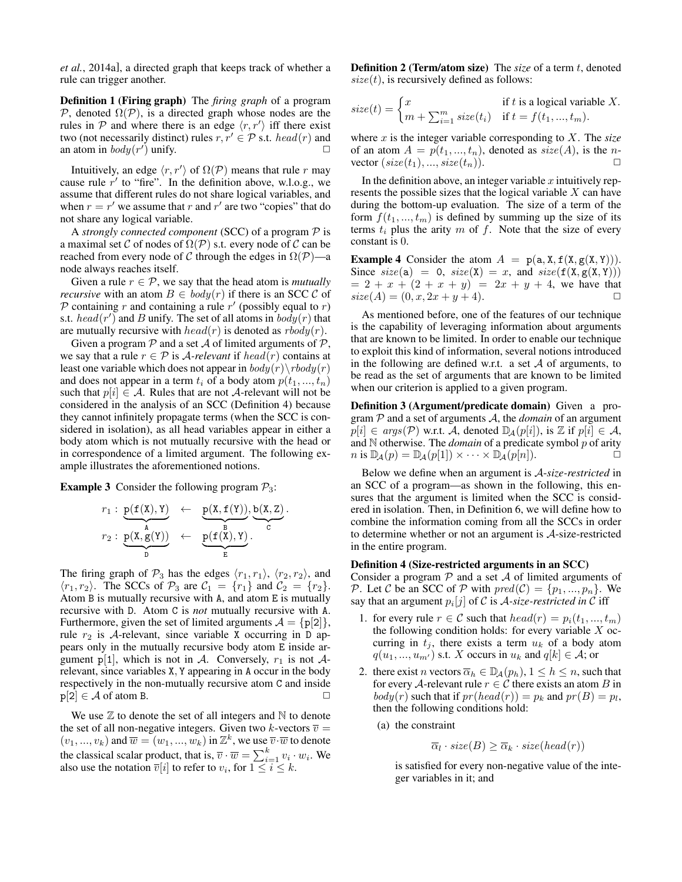*et al.*, 2014a], a directed graph that keeps track of whether a rule can trigger another.

Definition 1 (Firing graph) The *firing graph* of a program P, denoted  $\Omega(\mathcal{P})$ , is a directed graph whose nodes are the rules in  $P$  and where there is an edge  $\langle r, r' \rangle$  iff there exist two (not necessarily distinct) rules  $r, r' \in \mathcal{P}$  s.t. head(r) and an atom in  $body(r')$  unify.

Intuitively, an edge  $\langle r, r' \rangle$  of  $\Omega(\mathcal{P})$  means that rule r may cause rule  $r'$  to "fire". In the definition above, w.l.o.g., we assume that different rules do not share logical variables, and when  $r = r'$  we assume that r and r' are two "copies" that do not share any logical variable.

A *strongly connected component* (SCC) of a program P is a maximal set C of nodes of  $\Omega(\mathcal{P})$  s.t. every node of C can be reached from every node of C through the edges in  $\Omega(\mathcal{P})$ —a node always reaches itself.

Given a rule  $r \in \mathcal{P}$ , we say that the head atom is *mutually recursive* with an atom  $B \in \text{body}(r)$  if there is an SCC C of  $P$  containing r and containing a rule r' (possibly equal to r) s.t.  $head(r')$  and B unify. The set of all atoms in  $body(r)$  that are mutually recursive with  $head(r)$  is denoted as  $rbody(r)$ .

Given a program  $P$  and a set  $A$  of limited arguments of  $P$ , we say that a rule  $r \in \mathcal{P}$  is A-relevant if head(r) contains at least one variable which does not appear in  $body(r)\, \bmod y(r)$ and does not appear in a term  $t_i$  of a body atom  $p(t_1, ..., t_n)$ such that  $p[i] \in \mathcal{A}$ . Rules that are not  $\mathcal{A}$ -relevant will not be considered in the analysis of an SCC (Definition 4) because they cannot infinitely propagate terms (when the SCC is considered in isolation), as all head variables appear in either a body atom which is not mutually recursive with the head or in correspondence of a limited argument. The following example illustrates the aforementioned notions.

**Example 3** Consider the following program  $P_3$ :

$$
\begin{array}{cccc}r_1:&\underbrace{p(\texttt{f}(\texttt{X}), \texttt{Y})}_{\texttt{A}} &\leftarrow &\underbrace{p(\texttt{X}, \texttt{f}(\texttt{Y}))}_{\texttt{E}}, \underbrace{b(\texttt{X}, \texttt{Z})}_{\texttt{C}}\\ r_2:&\underbrace{p(\texttt{X}, \texttt{g}(\texttt{Y}))}_{\texttt{D}} &\leftarrow &\underbrace{p(\texttt{f}(\texttt{X}), \texttt{Y})}_{\texttt{E}}.\end{array}.
$$

.

The firing graph of  $\mathcal{P}_3$  has the edges  $\langle r_1, r_1 \rangle$ ,  $\langle r_2, r_2 \rangle$ , and  $\langle r_1, r_2 \rangle$ . The SCCs of  $\mathcal{P}_3$  are  $\mathcal{C}_1 = \{r_1\}$  and  $\mathcal{C}_2 = \{r_2\}$ . Atom B is mutually recursive with A, and atom E is mutually recursive with D. Atom C is *not* mutually recursive with A. Furthermore, given the set of limited arguments  $A = \{p[2]\},\$ rule  $r_2$  is A-relevant, since variable X occurring in D appears only in the mutually recursive body atom E inside argument p[1], which is not in A. Conversely,  $r_1$  is not Arelevant, since variables X, Y appearing in A occur in the body respectively in the non-mutually recursive atom C and inside  $p[2] \in \mathcal{A}$  of atom B.

We use  $\mathbb Z$  to denote the set of all integers and  $\mathbb N$  to denote the set of all non-negative integers. Given two k-vectors  $\overline{v} =$  $(v_1, ..., v_k)$  and  $\overline{w} = (w_1, ..., w_k)$  in  $\mathbb{Z}^k$ , we use  $\overline{v} \cdot \overline{w}$  to denote the classical scalar product, that is,  $\overline{v} \cdot \overline{w} = \sum_{i=1}^{k} v_i \cdot w_i$ . We also use the notation  $\overline{v}[i]$  to refer to  $v_i$ , for  $1 \leq i \leq k$ .

**Definition 2 (Term/atom size)** The *size* of a term t, denoted  $size(t)$ , is recursively defined as follows:

$$
size(t) = \begin{cases} x & \text{if } t \text{ is a logical variable } X. \\ m + \sum_{i=1}^{m} size(t_i) & \text{if } t = f(t_1, ..., t_m). \end{cases}
$$

where x is the integer variable corresponding to X. The *size* of an atom  $A = p(t_1, ..., t_n)$ , denoted as  $size(A)$ , is the nvector  $(size(t_1), ..., size(t_n)).$ 

In the definition above, an integer variable  $x$  intuitively represents the possible sizes that the logical variable X can have during the bottom-up evaluation. The size of a term of the form  $f(t_1, ..., t_m)$  is defined by summing up the size of its terms  $t_i$  plus the arity  $m$  of  $f$ . Note that the size of every constant is 0.

**Example 4** Consider the atom  $A = p(a, X, f(X, g(X, Y))).$ Since  $size(a) = 0, size(X) = x, and size(f(X, g(X, Y)))$  $= 2 + x + (2 + x + y) = 2x + y + 4$ , we have that  $size(A) = (0, x, 2x + y + 4).$ 

As mentioned before, one of the features of our technique is the capability of leveraging information about arguments that are known to be limited. In order to enable our technique to exploit this kind of information, several notions introduced in the following are defined w.r.t. a set  $A$  of arguments, to be read as the set of arguments that are known to be limited when our criterion is applied to a given program.

Definition 3 (Argument/predicate domain) Given a program P and a set of arguments A, the *domain* of an argument  $p[i] \in args(\mathcal{P})$  w.r.t. A, denoted  $\mathbb{D}_{\mathcal{A}}(p[i])$ , is  $\mathbb Z$  if  $p[i] \in \mathcal{A}$ , and  $N$  otherwise. The *domain* of a predicate symbol  $p$  of arity  $n$  is  $\mathbb{D}_{\mathcal{A}}(p) = \mathbb{D}_{\mathcal{A}}(p[1]) \times \cdots \times \mathbb{D}_{\mathcal{A}}(p[n]).$ 

Below we define when an argument is A-*size-restricted* in an SCC of a program—as shown in the following, this ensures that the argument is limited when the SCC is considered in isolation. Then, in Definition 6, we will define how to combine the information coming from all the SCCs in order to determine whether or not an argument is A-size-restricted in the entire program.

#### Definition 4 (Size-restricted arguments in an SCC)

Consider a program  $P$  and a set  $A$  of limited arguments of P. Let C be an SCC of P with  $pred(C) = \{p_1, ..., p_n\}$ . We say that an argument  $p_i[j]$  of C is A-size-restricted in C iff

- 1. for every rule  $r \in \mathcal{C}$  such that  $head(r) = p_i(t_1, ..., t_m)$ the following condition holds: for every variable  $X$  occurring in  $t_j$ , there exists a term  $u_k$  of a body atom  $q(u_1, ..., u_{m'})$  s.t. X occurs in  $u_k$  and  $q[k] \in \mathcal{A}$ ; or
- 2. there exist *n* vectors  $\overline{\alpha}_h \in \mathbb{D}_A(p_h)$ ,  $1 \leq h \leq n$ , such that for every A-relevant rule  $r \in \mathcal{C}$  there exists an atom B in  $body(r)$  such that if  $pr(head(r)) = p_k$  and  $pr(B) = p_l$ , then the following conditions hold:
	- (a) the constraint

$$
\overline{\alpha}_l \cdot size(B) \ge \overline{\alpha}_k \cdot size(head(r))
$$

is satisfied for every non-negative value of the integer variables in it; and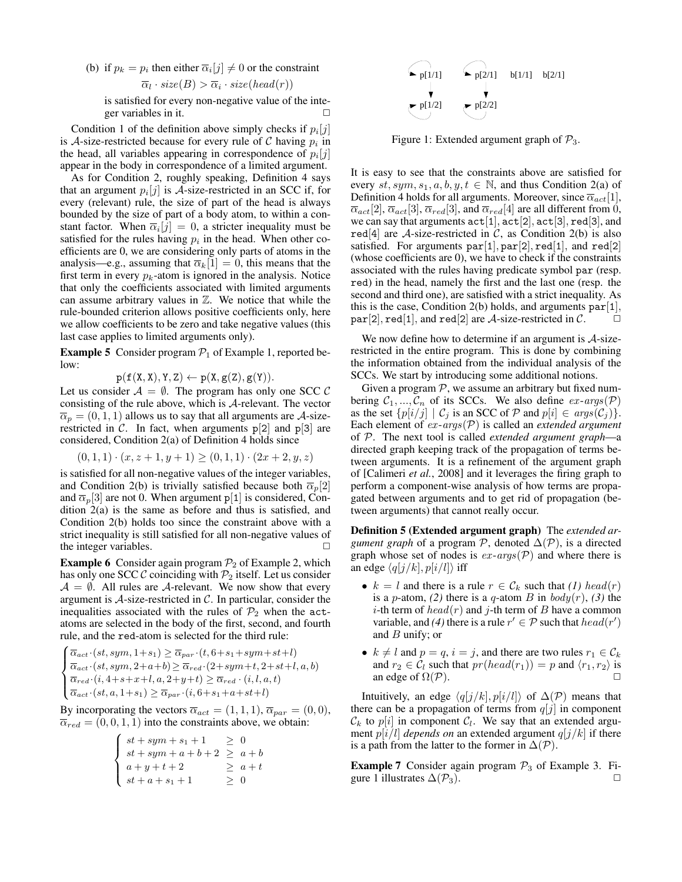(b) if  $p_k = p_i$  then either  $\overline{\alpha}_i[j] \neq 0$  or the constraint  $\overline{\alpha}_l \cdot \textit{size}(B) > \overline{\alpha}_i \cdot \textit{size}(\textit{head}(r))$ 

is satisfied for every non-negative value of the integer variables in it.  $\Box$ 

Condition 1 of the definition above simply checks if  $p_i[j]$ is A-size-restricted because for every rule of C having  $p_i$  in the head, all variables appearing in correspondence of  $p_i[j]$ appear in the body in correspondence of a limited argument.

As for Condition 2, roughly speaking, Definition 4 says that an argument  $p_i[j]$  is A-size-restricted in an SCC if, for every (relevant) rule, the size of part of the head is always bounded by the size of part of a body atom, to within a constant factor. When  $\overline{\alpha}_i[j] = 0$ , a stricter inequality must be satisfied for the rules having  $p_i$  in the head. When other coefficients are 0, we are considering only parts of atoms in the analysis—e.g., assuming that  $\overline{\alpha}_k[1] = 0$ , this means that the first term in every  $p_k$ -atom is ignored in the analysis. Notice that only the coefficients associated with limited arguments can assume arbitrary values in  $\mathbb{Z}$ . We notice that while the rule-bounded criterion allows positive coefficients only, here we allow coefficients to be zero and take negative values (this last case applies to limited arguments only).

**Example 5** Consider program  $P_1$  of Example 1, reported below:

 $p(f(X, X), Y, Z) \leftarrow p(X, g(Z), g(Y)).$ 

Let us consider  $A = \emptyset$ . The program has only one SCC C consisting of the rule above, which is A-relevant. The vector  $\overline{\alpha}_p = (0, 1, 1)$  allows us to say that all arguments are A-sizerestricted in  $\mathcal{C}$ . In fact, when arguments p[2] and p[3] are considered, Condition 2(a) of Definition 4 holds since

$$
(0,1,1) \cdot (x, z+1, y+1) \ge (0,1,1) \cdot (2x+2, y, z)
$$

is satisfied for all non-negative values of the integer variables, and Condition 2(b) is trivially satisfied because both  $\overline{\alpha}_p[2]$ and  $\overline{\alpha}_p[3]$  are not 0. When argument p[1] is considered, Condition 2(a) is the same as before and thus is satisfied, and Condition 2(b) holds too since the constraint above with a strict inequality is still satisfied for all non-negative values of the integer variables.  $\Box$ 

**Example 6** Consider again program  $\mathcal{P}_2$  of Example 2, which has only one SCC  $\mathcal C$  coinciding with  $\mathcal P_2$  itself. Let us consider  $A = \emptyset$ . All rules are A-relevant. We now show that every argument is  $A$ -size-restricted in  $C$ . In particular, consider the inequalities associated with the rules of  $\mathcal{P}_2$  when the actatoms are selected in the body of the first, second, and fourth rule, and the red-atom is selected for the third rule:

$$
\begin{cases} \overline{\alpha}_{act} \cdot (st, sym, 1+s_1) \ge \overline{\alpha}_{par} \cdot (t, 6+s_1+sym+st+l) \\ \overline{\alpha}_{act} \cdot (st, sym, 2+a+b) \ge \overline{\alpha}_{red} \cdot (2+sym+t, 2+st+l, a, b) \\ \overline{\alpha}_{red} \cdot (i, 4+s+x+l, a, 2+y+t) \ge \overline{\alpha}_{red} \cdot (i, l, a, t) \\ \overline{\alpha}_{act} \cdot (st, a, 1+s_1) \ge \overline{\alpha}_{par} \cdot (i, 6+s_1+a+st+l) \end{cases}
$$

By incorporating the vectors  $\overline{\alpha}_{act} = (1, 1, 1), \overline{\alpha}_{par} = (0, 0),$  $\overline{\alpha}_{red} = (0, 0, 1, 1)$  into the constraints above, we obtain:

$$
\begin{cases}\nst + sym + s_1 + 1 & \geq 0 \\
st + sym + a + b + 2 & \geq a + b \\
a + y + t + 2 & \geq a + t \\
st + a + s_1 + 1 & \geq 0\n\end{cases}
$$



Figure 1: Extended argument graph of  $P_3$ .

It is easy to see that the constraints above are satisfied for every  $st, sym, s_1, a, b, y, t \in \mathbb{N}$ , and thus Condition 2(a) of Definition 4 holds for all arguments. Moreover, since  $\overline{\alpha}_{act}[1]$ ,  $\overline{\alpha}_{act}[2], \overline{\alpha}_{act}[3], \overline{\alpha}_{red}[3],$  and  $\overline{\alpha}_{red}[4]$  are all different from 0, we can say that arguments  $\texttt{act}[1], \texttt{act}[2], \texttt{act}[3], \texttt{red}[3],$  and red<sup>[4]</sup> are *A*-size-restricted in  $\mathcal{C}$ , as Condition 2(b) is also satisfied. For arguments  $par[1]$ ,  $par[2]$ ,  $red[1]$ , and  $red[2]$ (whose coefficients are 0), we have to check if the constraints associated with the rules having predicate symbol par (resp. red) in the head, namely the first and the last one (resp. the second and third one), are satisfied with a strict inequality. As this is the case, Condition 2(b) holds, and arguments  $par[1]$ , par[2], red[1], and red[2] are  $A$ -size-restricted in  $C$ .

We now define how to determine if an argument is  $A$ -sizerestricted in the entire program. This is done by combining the information obtained from the individual analysis of the SCCs. We start by introducing some additional notions.

Given a program  $P$ , we assume an arbitrary but fixed numbering  $C_1, ..., C_n$  of its SCCs. We also define  $ex\text{-}args(\mathcal{P})$ as the set  $\{p[i/j] | C_j \text{ is an SCC of } \mathcal{P} \text{ and } p[i] \in args(C_j)\}.$ Each element of  $ex\text{-}args(\mathcal{P})$  is called an *extended argument* of P. The next tool is called *extended argument graph*—a directed graph keeping track of the propagation of terms between arguments. It is a refinement of the argument graph of [Calimeri *et al.*, 2008] and it leverages the firing graph to perform a component-wise analysis of how terms are propagated between arguments and to get rid of propagation (between arguments) that cannot really occur.

Definition 5 (Extended argument graph) The *extended argument graph* of a program  $\mathcal{P}$ , denoted  $\Delta(\mathcal{P})$ , is a directed graph whose set of nodes is  $ex\text{-}args(\mathcal{P})$  and where there is an edge  $\langle q[j/k], p[i/l] \rangle$  iff

- $k = l$  and there is a rule  $r \in C_k$  such that (1) head(r) is a *p*-atom, (2) there is a *q*-atom *B* in  $body(r)$ , (3) the *i*-th term of  $head(r)$  and *j*-th term of B have a common variable, and (4) there is a rule  $r' \in \mathcal{P}$  such that  $head(r')$ and  $B$  unify; or
- $k \neq l$  and  $p = q$ ,  $i = j$ , and there are two rules  $r_1 \in C_k$ and  $r_2 \in C_l$  such that  $pr(head(r_1)) = p$  and  $\langle r_1, r_2 \rangle$  is an edge of  $\Omega(\mathcal{P})$ .

Intuitively, an edge  $\langle q[j/k], p[i/l] \rangle$  of  $\Delta(\mathcal{P})$  means that there can be a propagation of terms from  $q[j]$  in component  $\mathcal{C}_k$  to  $p[i]$  in component  $\mathcal{C}_l$ . We say that an extended argument  $p[i/l]$  *depends on* an extended argument  $q[j/k]$  if there is a path from the latter to the former in  $\Delta(P)$ .

**Example 7** Consider again program  $\mathcal{P}_3$  of Example 3. Figure 1 illustrates  $\Delta(\mathcal{P}_3)$ .  $\Box$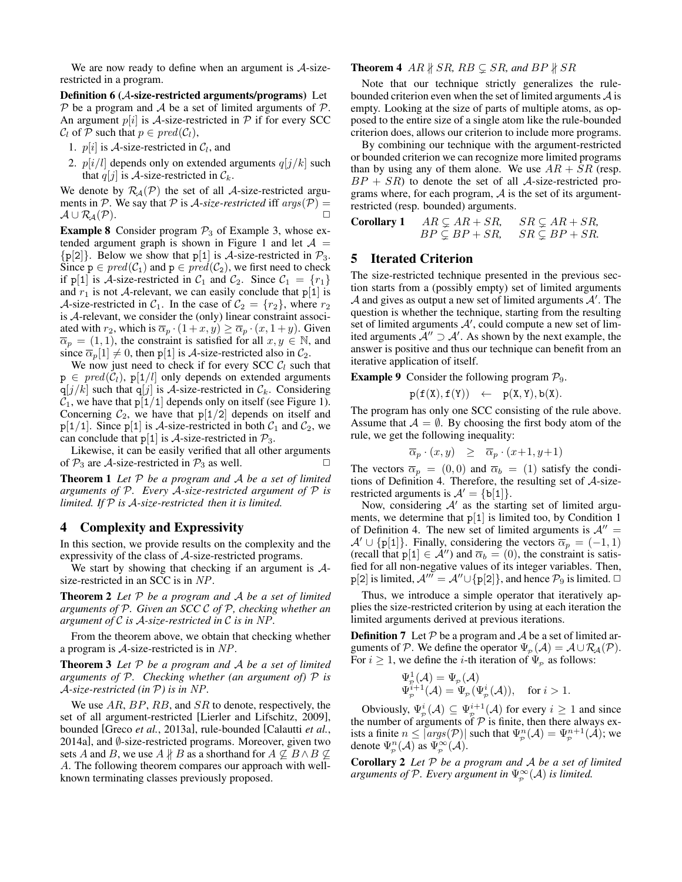We are now ready to define when an argument is  $A$ -sizerestricted in a program.

Definition 6 (A-size-restricted arguments/programs) Let  $P$  be a program and A be a set of limited arguments of  $P$ . An argument  $p[i]$  is A-size-restricted in  $P$  if for every SCC  $C_l$  of P such that  $p \in pred(C_l)$ ,

- 1.  $p[i]$  is A-size-restricted in  $C_l$ , and
- 2.  $p[i/l]$  depends only on extended arguments  $q[j/k]$  such that  $q[j]$  is A-size-restricted in  $\mathcal{C}_k$ .

We denote by  $\mathcal{R}_{\mathcal{A}}(\mathcal{P})$  the set of all A-size-restricted arguments in P. We say that P is A-size-restricted iff  $args(\mathcal{P}) =$  $\mathcal{A} \cup \mathcal{R}_{\mathcal{A}}(\mathcal{P}).$ 

**Example 8** Consider program  $\mathcal{P}_3$  of Example 3, whose extended argument graph is shown in Figure 1 and let  $A =$  $\{p[2]\}.$  Below we show that  $p[1]$  is A-size-restricted in  $\mathcal{P}_3$ . Since  $p \in pred(C_1)$  and  $p \in pred(C_2)$ , we first need to check if p[1] is A-size-restricted in  $C_1$  and  $C_2$ . Since  $C_1 = \{r_1\}$ and  $r_1$  is not A-relevant, we can easily conclude that  $p[1]$  is A-size-restricted in  $C_1$ . In the case of  $C_2 = \{r_2\}$ , where  $r_2$ is A-relevant, we consider the (only) linear constraint associated with  $r_2$ , which is  $\overline{\alpha}_p \cdot (1 + x, y) \ge \overline{\alpha}_p \cdot (x, 1 + y)$ . Given  $\overline{\alpha}_p = (1, 1)$ , the constraint is satisfied for all  $x, y \in \mathbb{N}$ , and since  $\overline{\alpha}_p[1] \neq 0$ , then p[1] is A-size-restricted also in  $\mathcal{C}_2$ .

We now just need to check if for every SCC  $C_l$  such that  $p \in pred(C_1), p[1/l]$  only depends on extended arguments  $q[j/k]$  such that  $q[j]$  is A-size-restricted in  $\mathcal{C}_k$ . Considering  $C_1$ , we have that  $p[1/1]$  depends only on itself (see Figure 1). Concerning  $C_2$ , we have that  $p[1/2]$  depends on itself and  $p[1/1]$ . Since  $p[1]$  is A-size-restricted in both  $C_1$  and  $C_2$ , we can conclude that  $p[1]$  is A-size-restricted in  $\mathcal{P}_3$ .

Likewise, it can be easily verified that all other arguments of  $\mathcal{P}_3$  are A-size-restricted in  $\mathcal{P}_3$  as well.  $\Box$ 

Theorem 1 *Let* P *be a program and* A *be a set of limited arguments of* P*. Every* A*-size-restricted argument of* P *is limited. If* P *is* A*-size-restricted then it is limited.*

## 4 Complexity and Expressivity

In this section, we provide results on the complexity and the expressivity of the class of A-size-restricted programs.

We start by showing that checking if an argument is  $A$ size-restricted in an SCC is in NP.

Theorem 2 *Let* P *be a program and* A *be a set of limited arguments of* P*. Given an SCC* C *of* P*, checking whether an argument of* C *is* A*-size-restricted in* C *is in* NP*.*

From the theorem above, we obtain that checking whether a program is A-size-restricted is in NP.

Theorem 3 *Let* P *be a program and* A *be a set of limited arguments of* P*. Checking whether (an argument of)* P *is* A*-size-restricted (in* P*) is in* NP*.*

We use  $AR$ ,  $BP$ ,  $RB$ , and  $SR$  to denote, respectively, the set of all argument-restricted [Lierler and Lifschitz, 2009], bounded [Greco *et al.*, 2013a], rule-bounded [Calautti *et al.*, 2014a], and Ø-size-restricted programs. Moreover, given two sets A and B, we use  $A \nparallel B$  as a shorthand for  $A \nsubseteq B \wedge B \nsubseteq$ A. The following theorem compares our approach with wellknown terminating classes previously proposed.

#### **Theorem 4** AR  $\nparallel$  SR, RB  $\subseteq$  SR, and BP  $\nparallel$  SR

Note that our technique strictly generalizes the rulebounded criterion even when the set of limited arguments  $A$  is empty. Looking at the size of parts of multiple atoms, as opposed to the entire size of a single atom like the rule-bounded criterion does, allows our criterion to include more programs.

By combining our technique with the argument-restricted or bounded criterion we can recognize more limited programs than by using any of them alone. We use  $AR + SR$  (resp.  $BP + SR$ ) to denote the set of all A-size-restricted programs where, for each program,  $A$  is the set of its argumentrestricted (resp. bounded) arguments.

**Corollary 1**  $AR \subseteq AR + SR$ ,  $SR \subseteq AR + SR$ ,<br> $BP \subseteq BP + SR$ ,  $SR \subseteq BP + SR$ .  $SR \subseteq BP + SR$ 

#### 5 Iterated Criterion

The size-restricted technique presented in the previous section starts from a (possibly empty) set of limited arguments  $A$  and gives as output a new set of limited arguments  $A'$ . The question is whether the technique, starting from the resulting set of limited arguments  $A'$ , could compute a new set of limited arguments  $\mathcal{A}^{\prime\prime} \supset \mathcal{A}^{\prime}$ . As shown by the next example, the answer is positive and thus our technique can benefit from an iterative application of itself.

**Example 9** Consider the following program  $\mathcal{P}_9$ .

 $p(f(X), f(Y)) \leftarrow p(X, Y), b(X).$ 

The program has only one SCC consisting of the rule above. Assume that  $A = \emptyset$ . By choosing the first body atom of the rule, we get the following inequality:

$$
\overline{\alpha}_p \cdot (x, y) \quad \geq \quad \overline{\alpha}_p \cdot (x+1, y+1)
$$

The vectors  $\overline{\alpha}_p = (0, 0)$  and  $\overline{\alpha}_b = (1)$  satisfy the conditions of Definition 4. Therefore, the resulting set of  $A$ -sizerestricted arguments is  $A' = \{b[1]\}.$ 

Now, considering  $A'$  as the starting set of limited arguments, we determine that  $p[1]$  is limited too, by Condition 1 of Definition 4. The new set of limited arguments is  $A'' =$  $\mathcal{A}' \cup \{p[1]\}.$  Finally, considering the vectors  $\overline{\alpha}_p = (-1, 1)$ (recall that  $p[1] \in \mathcal{A}''$ ) and  $\overline{\alpha}_b = (0)$ , the constraint is satisfied for all non-negative values of its integer variables. Then, p[2] is limited,  $\mathcal{A}''' = \mathcal{A}'' \cup \{p[2]\}\$ , and hence  $\mathcal{P}_9$  is limited.  $\Box$ 

Thus, we introduce a simple operator that iteratively applies the size-restricted criterion by using at each iteration the limited arguments derived at previous iterations.

**Definition 7** Let  $P$  be a program and  $\mathcal A$  be a set of limited arguments of P. We define the operator  $\Psi_p(\mathcal{A}) = \mathcal{A} \cup \mathcal{R}_{\mathcal{A}}(\mathcal{P})$ . For  $i \geq 1$ , we define the *i*-th iteration of  $\Psi_p$  as follows:

$$
\begin{array}{ll} \Psi_{\mathcal{P}}^1(\mathcal{A})=\Psi_{\mathcal{P}}(\mathcal{A})\\ \Psi_{\mathcal{P}}^{i+1}(\mathcal{A})=\Psi_{\mathcal{P}}(\Psi_{\mathcal{P}}^i(\mathcal{A})), & \text{for $i>1$}. \end{array}
$$

Obviously,  $\Psi_p^i(\mathcal{A}) \subseteq \Psi_p^{i+1}(\mathcal{A})$  for every  $i \geq 1$  and since the number of arguments of  $P$  is finite, then there always exists a finite  $n \leq |args(\mathcal{P})|$  such that  $\Psi_p^n(\mathcal{A}) = \Psi_p^{n+1}(\mathcal{A})$ ; we denote  $\Psi_{\mathcal{P}}^n(\mathcal{A})$  as  $\Psi_{\mathcal{P}}^{\infty}(\mathcal{A})$ .

Corollary 2 *Let* P *be a program and* A *be a set of limited arguments of*  $P$ *. Every argument in*  $\Psi_{\mathcal{P}}^{\infty}(\mathcal{A})$  *is limited.*